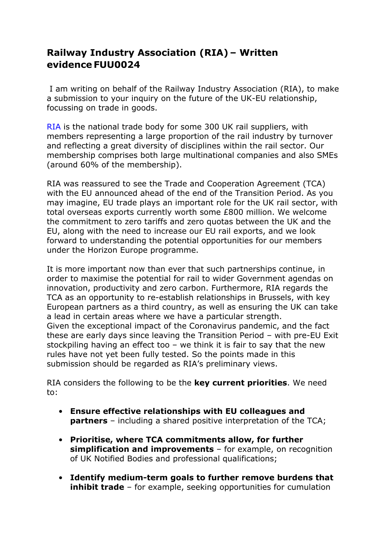## **Railway Industry Association (RIA) – Written evidence FUU0024**

I am writing on behalf of the Railway Industry Association (RIA), to make a submission to your inquiry on the future of the UK-EU relationship, focussing on trade in goods.

RIA is the national trade body for some 300 UK rail suppliers, with members representing a large proportion of the rail industry by turnover and reflecting a great diversity of disciplines within the rail sector. Our membership comprises both large multinational companies and also SMEs (around 60% of the membership).

RIA was reassured to see the Trade and Cooperation Agreement (TCA) with the EU announced ahead of the end of the Transition Period. As you may imagine, EU trade plays an important role for the UK rail sector, with total overseas exports currently worth some £800 million. We welcome the commitment to zero tariffs and zero quotas between the UK and the EU, along with the need to increase our EU rail exports, and we look forward to understanding the potential opportunities for our members under the Horizon Europe programme.

It is more important now than ever that such partnerships continue, in order to maximise the potential for rail to wider Government agendas on innovation, productivity and zero carbon. Furthermore, RIA regards the TCA as an opportunity to re-establish relationships in Brussels, with key European partners as a third country, as well as ensuring the UK can take a lead in certain areas where we have a particular strength. Given the exceptional impact of the Coronavirus pandemic, and the fact these are early days since leaving the Transition Period – with pre-EU Exit stockpiling having an effect too – we think it is fair to say that the new rules have not yet been fully tested. So the points made in this submission should be regarded as RIA's preliminary views.

RIA considers the following to be the **key current priorities**. We need to:

- **Ensure effective relationships with EU colleagues and partners** – including a shared positive interpretation of the TCA;
- **Prioritise, where TCA commitments allow, for further simplification and improvements** – for example, on recognition of UK Notified Bodies and professional qualifications;
- **Identify medium-term goals to further remove burdens that inhibit trade** – for example, seeking opportunities for cumulation